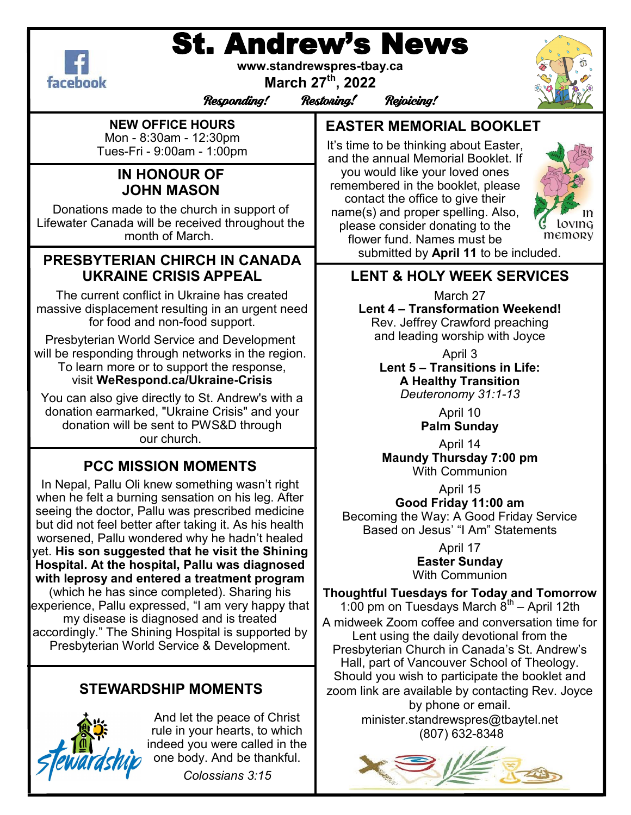# St. Andrew's News



**www.standrewspres-tbay.ca**

**March 27th, 2022**

Responding! Restoring! Rejoicing!



**NEW OFFICE HOURS** Mon - 8:30am - 12:30pm Tues-Fri - 9:00am - 1:00pm

## **IN HONOUR OF JOHN MASON**

Donations made to the church in support of Lifewater Canada will be received throughout the month of March.

## **PRESBYTERIAN CHIRCH IN CANADA UKRAINE CRISIS APPEAL**

The current conflict in Ukraine has created massive displacement resulting in an urgent need for food and non-food support.

Presbyterian World Service and Development will be responding through networks in the region. To learn more or to support the response, visit **WeRespond.ca/Ukraine-Crisis**

You can also give directly to St. Andrew's with a donation earmarked, "Ukraine Crisis" and your donation will be sent to PWS&D through our church.

# **PCC MISSION MOMENTS**

In Nepal, Pallu Oli knew something wasn't right when he felt a burning sensation on his leg. After seeing the doctor, Pallu was prescribed medicine but did not feel better after taking it. As his health worsened, Pallu wondered why he hadn't healed yet. **His son suggested that he visit the Shining Hospital. At the hospital, Pallu was diagnosed with leprosy and entered a treatment program** (which he has since completed). Sharing his experience, Pallu expressed, "I am very happy that my disease is diagnosed and is treated accordingly." The Shining Hospital is supported by

Presbyterian World Service & Development.

# **STEWARDSHIP MOMENTS**



And let the peace of Christ rule in your hearts, to which indeed you were called in the one body. And be thankful.

*Colossians 3:15*

**EASTER MEMORIAL BOOKLET**

It's time to be thinking about Easter, and the annual Memorial Booklet. If you would like your loved ones remembered in the booklet, please contact the office to give their name(s) and proper spelling. Also, please consider donating to the flower fund. Names must be submitted by **April 11** to be included.



**LENT & HOLY WEEK SERVICES**

March 27 **Lent 4 – Transformation Weekend!** Rev. Jeffrey Crawford preaching and leading worship with Joyce

April 3 **Lent 5 – Transitions in Life: A Healthy Transition** *Deuteronomy 31:1-13*

> April 10 **Palm Sunday**

April 14 **Maundy Thursday 7:00 pm** With Communion

April 15 **Good Friday 11:00 am**

Becoming the Way: A Good Friday Service Based on Jesus' "I Am" Statements

> April 17 **Easter Sunday** With Communion

**Thoughtful Tuesdays for Today and Tomorrow** 1:00 pm on Tuesdays March  $\ddot{8}^{\text{th}}$  – April 12th A midweek Zoom coffee and conversation time for Lent using the daily devotional from the Presbyterian Church in Canada's St. Andrew's Hall, part of Vancouver School of Theology. Should you wish to participate the booklet and zoom link are available by contacting Rev. Joyce by phone or email. minister.standrewspres@tbaytel.net (807) 632-8348